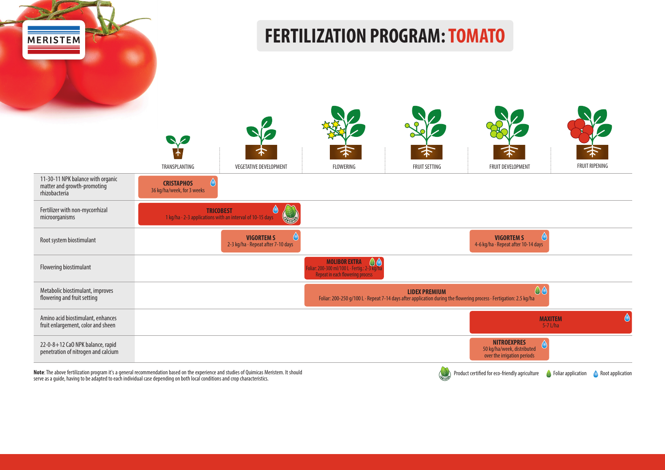